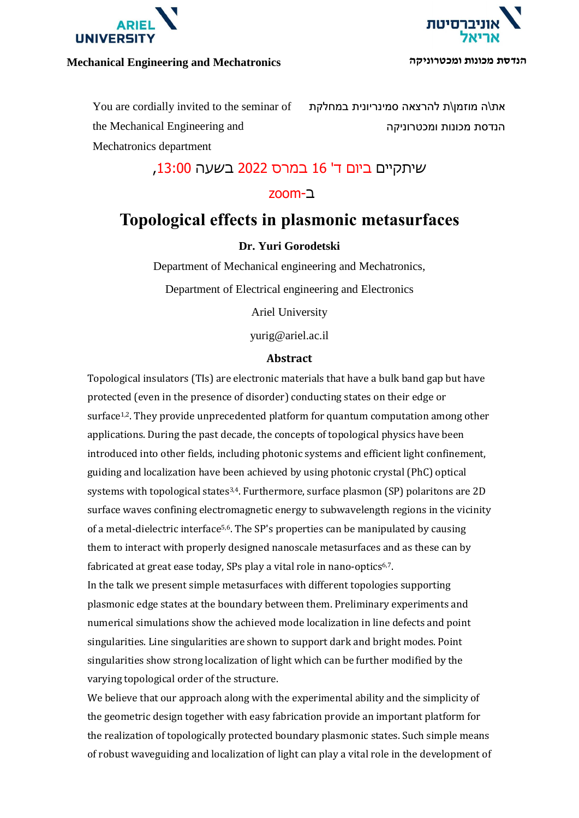

### **Mechanical Engineering and Mechatronics ומכטרוניקה מכונות הנדסת**



You are cordially invited to the seminar of the Mechanical Engineering and Mechatronics department

את\ה מוזמן\ת להרצאה סמינריונית במחלקת הנדסת מכונות ומכטרוניקה

## שיתקיים ביום ד' 16 במרס 2022 בשעה ,13:00

## ב-zoom

# **Topological effects in plasmonic metasurfaces**

## **Dr. Yuri Gorodetski**

Department of Mechanical engineering and Mechatronics,

Department of Electrical engineering and Electronics

Ariel University

yurig@ariel.ac.il

#### **Abstract**

Topological insulators (TIs) are electronic materials that have a bulk band gap but have protected (even in the presence of disorder) conducting states on their edge or surface<sup>1,2</sup>. They provide unprecedented platform for quantum computation among other applications. During the past decade, the concepts of topological physics have been introduced into other fields, including photonic systems and efficient light confinement, guiding and localization have been achieved by using photonic crystal (PhC) optical systems with topological states3,4. Furthermore, surface plasmon (SP) polaritons are 2D surface waves confining electromagnetic energy to subwavelength regions in the vicinity of a metal-dielectric interface<sup>5,6</sup>. The SP's properties can be manipulated by causing them to interact with properly designed nanoscale metasurfaces and as these can by fabricated at great ease today, SPs play a vital role in nano-optics<sup>6,7</sup>.

In the talk we present simple metasurfaces with different topologies supporting plasmonic edge states at the boundary between them. Preliminary experiments and numerical simulations show the achieved mode localization in line defects and point singularities. Line singularities are shown to support dark and bright modes. Point singularities show strong localization of light which can be further modified by the varying topological order of the structure.

We believe that our approach along with the experimental ability and the simplicity of the geometric design together with easy fabrication provide an important platform for the realization of topologically protected boundary plasmonic states. Such simple means of robust waveguiding and localization of light can play a vital role in the development of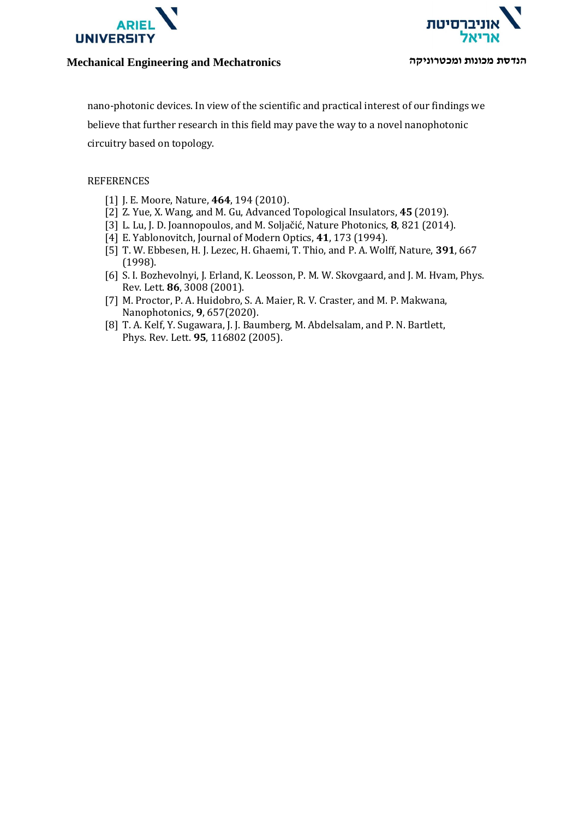



#### **Mechanical Engineering and Mechatronics ומכטרוניקה מכונות הנדסת**

nano-photonic devices. In view of the scientific and practical interest of our findings we believe that further research in this field may pave the way to a novel nanophotonic circuitry based on topology.

#### REFERENCES

- [1] J. E. Moore, Nature, **464**, 194 (2010).
- [2] Z. Yue, X. Wang, and M. Gu, Advanced Topological Insulators, **45** (2019).
- [3] L. Lu, J. D. Joannopoulos, and M. Soljačić, Nature Photonics, **8**, 821 (2014).
- [4] E. Yablonovitch, Journal of Modern Optics, **41**, 173 (1994).
- [5] T. W. Ebbesen, H. J. Lezec, H. Ghaemi, T. Thio, and P. A. Wolff, Nature, **391**, 667 (1998).
- [6] S. I. Bozhevolnyi, J. Erland, K. Leosson, P. M. W. Skovgaard, and J. M. Hvam, Phys. Rev. Lett. **86**, 3008 (2001).
- [7] M. Proctor, P. A. Huidobro, S. A. Maier, R. V. Craster, and M. P. Makwana, Nanophotonics, **9**, 657(2020).
- [8] T. A. Kelf, Y. Sugawara, J. J. Baumberg, M. Abdelsalam, and P. N. Bartlett, Phys. Rev. Lett. **95**, 116802 (2005).